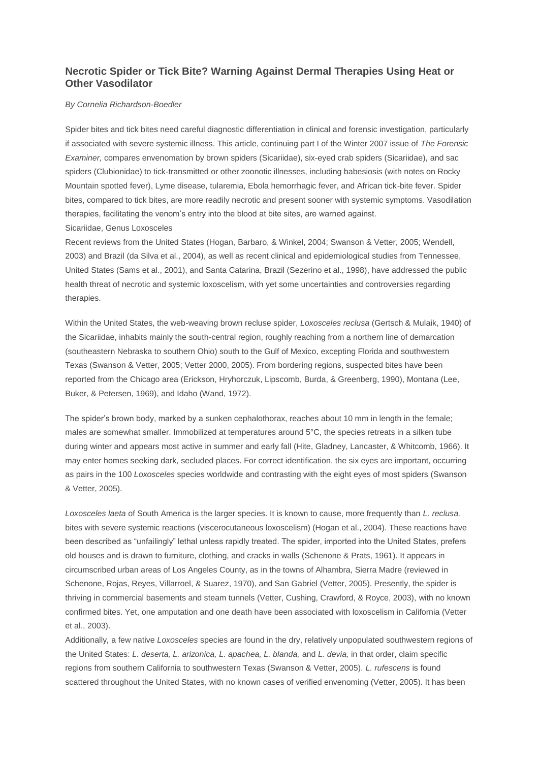# **Necrotic Spider or Tick Bite? Warning Against Dermal Therapies Using Heat or Other Vasodilator**

# *By Cornelia Richardson-Boedler*

Spider bites and tick bites need careful diagnostic differentiation in clinical and forensic investigation, particularly if associated with severe systemic illness. This article, continuing part I of the Winter 2007 issue of *The Forensic Examiner,* compares envenomation by brown spiders (Sicariidae), six-eyed crab spiders (Sicariidae), and sac spiders (Clubionidae) to tick-transmitted or other zoonotic illnesses, including babesiosis (with notes on Rocky Mountain spotted fever), Lyme disease, tularemia, Ebola hemorrhagic fever, and African tick-bite fever. Spider bites, compared to tick bites, are more readily necrotic and present sooner with systemic symptoms. Vasodilation therapies, facilitating the venom's entry into the blood at bite sites, are warned against. Sicariidae, Genus Loxosceles

Recent reviews from the United States (Hogan, Barbaro, & Winkel, 2004; Swanson & Vetter, 2005; Wendell, 2003) and Brazil (da Silva et al., 2004), as well as recent clinical and epidemiological studies from Tennessee, United States (Sams et al., 2001), and Santa Catarina, Brazil (Sezerino et al., 1998), have addressed the public health threat of necrotic and systemic loxoscelism*,* with yet some uncertainties and controversies regarding therapies.

Within the United States, the web-weaving brown recluse spider, *Loxosceles reclusa* (Gertsch & Mulaik, 1940) of the Sicariidae, inhabits mainly the south-central region, roughly reaching from a northern line of demarcation (southeastern Nebraska to southern Ohio) south to the Gulf of Mexico, excepting Florida and southwestern Texas (Swanson & Vetter, 2005; Vetter 2000, 2005). From bordering regions, suspected bites have been reported from the Chicago area (Erickson, Hryhorczuk, Lipscomb, Burda, & Greenberg, 1990), Montana (Lee, Buker, & Petersen, 1969), and Idaho (Wand, 1972).

The spider's brown body, marked by a sunken cephalothorax, reaches about 10 mm in length in the female; males are somewhat smaller. Immobilized at temperatures around 5°C, the species retreats in a silken tube during winter and appears most active in summer and early fall (Hite, Gladney, Lancaster, & Whitcomb, 1966). It may enter homes seeking dark, secluded places. For correct identification, the six eyes are important, occurring as pairs in the 100 *Loxosceles* species worldwide and contrasting with the eight eyes of most spiders (Swanson & Vetter, 2005).

*Loxosceles laeta* of South America is the larger species. It is known to cause, more frequently than *L. reclusa,* bites with severe systemic reactions (viscerocutaneous loxoscelism) (Hogan et al., 2004). These reactions have been described as "unfailingly" lethal unless rapidly treated. The spider, imported into the United States, prefers old houses and is drawn to furniture, clothing, and cracks in walls (Schenone & Prats, 1961). It appears in circumscribed urban areas of Los Angeles County, as in the towns of Alhambra, Sierra Madre (reviewed in Schenone, Rojas, Reyes, Villarroel, & Suarez, 1970), and San Gabriel (Vetter, 2005). Presently, the spider is thriving in commercial basements and steam tunnels (Vetter, Cushing, Crawford, & Royce, 2003), with no known confirmed bites. Yet, one amputation and one death have been associated with loxoscelism in California (Vetter et al., 2003).

Additionally*,* a few native *Loxosceles* species are found in the dry, relatively unpopulated southwestern regions of the United States: *L. deserta, L. arizonica, L. apachea, L. blanda,* and *L. devia,* in that order, claim specific regions from southern California to southwestern Texas (Swanson & Vetter, 2005). *L. rufescens* is found scattered throughout the United States, with no known cases of verified envenoming (Vetter, 2005). It has been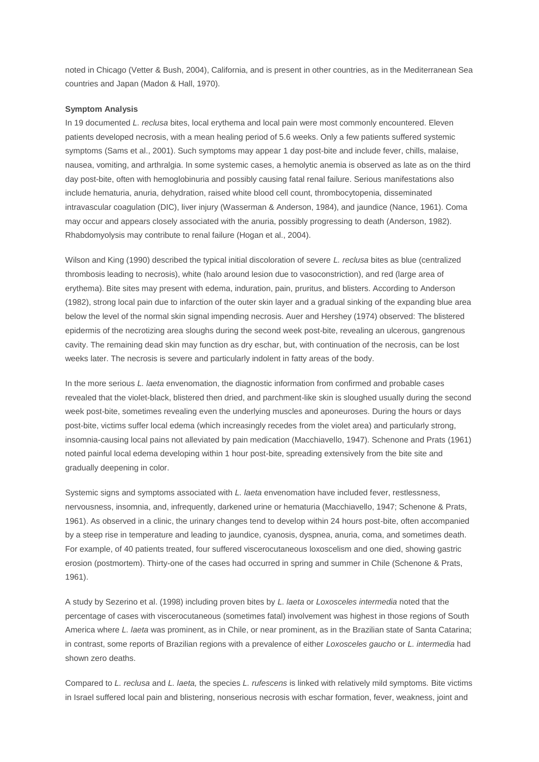noted in Chicago (Vetter & Bush, 2004), California, and is present in other countries, as in the Mediterranean Sea countries and Japan (Madon & Hall, 1970).

#### **Symptom Analysis**

In 19 documented *L. reclusa* bites, local erythema and local pain were most commonly encountered. Eleven patients developed necrosis, with a mean healing period of 5.6 weeks. Only a few patients suffered systemic symptoms (Sams et al., 2001). Such symptoms may appear 1 day post-bite and include fever, chills, malaise, nausea, vomiting, and arthralgia. In some systemic cases, a hemolytic anemia is observed as late as on the third day post-bite, often with hemoglobinuria and possibly causing fatal renal failure. Serious manifestations also include hematuria, anuria, dehydration, raised white blood cell count, thrombocytopenia, disseminated intravascular coagulation (DIC), liver injury (Wasserman & Anderson, 1984), and jaundice (Nance, 1961). Coma may occur and appears closely associated with the anuria, possibly progressing to death (Anderson, 1982). Rhabdomyolysis may contribute to renal failure (Hogan et al., 2004).

Wilson and King (1990) described the typical initial discoloration of severe *L. reclusa* bites as blue (centralized thrombosis leading to necrosis), white (halo around lesion due to vasoconstriction), and red (large area of erythema). Bite sites may present with edema, induration, pain, pruritus, and blisters. According to Anderson (1982), strong local pain due to infarction of the outer skin layer and a gradual sinking of the expanding blue area below the level of the normal skin signal impending necrosis. Auer and Hershey (1974) observed: The blistered epidermis of the necrotizing area sloughs during the second week post-bite, revealing an ulcerous, gangrenous cavity. The remaining dead skin may function as dry eschar, but, with continuation of the necrosis, can be lost weeks later. The necrosis is severe and particularly indolent in fatty areas of the body.

In the more serious *L. laeta* envenomation, the diagnostic information from confirmed and probable cases revealed that the violet-black, blistered then dried, and parchment-like skin is sloughed usually during the second week post-bite, sometimes revealing even the underlying muscles and aponeuroses. During the hours or days post-bite, victims suffer local edema (which increasingly recedes from the violet area) and particularly strong, insomnia-causing local pains not alleviated by pain medication (Macchiavello, 1947). Schenone and Prats (1961) noted painful local edema developing within 1 hour post-bite, spreading extensively from the bite site and gradually deepening in color.

Systemic signs and symptoms associated with *L. laeta* envenomation have included fever, restlessness, nervousness, insomnia, and, infrequently, darkened urine or hematuria (Macchiavello, 1947; Schenone & Prats, 1961). As observed in a clinic, the urinary changes tend to develop within 24 hours post-bite, often accompanied by a steep rise in temperature and leading to jaundice, cyanosis, dyspnea, anuria, coma, and sometimes death. For example, of 40 patients treated, four suffered viscerocutaneous loxoscelism and one died, showing gastric erosion (postmortem). Thirty-one of the cases had occurred in spring and summer in Chile (Schenone & Prats, 1961).

A study by Sezerino et al. (1998) including proven bites by *L. laeta* or *Loxosceles intermedia* noted that the percentage of cases with viscerocutaneous (sometimes fatal) involvement was highest in those regions of South America where *L. laeta* was prominent, as in Chile, or near prominent, as in the Brazilian state of Santa Catarina; in contrast, some reports of Brazilian regions with a prevalence of either *Loxosceles gaucho* or *L. intermedia* had shown zero deaths.

Compared to *L. reclusa* and *L. laeta,* the species *L. rufescens* is linked with relatively mild symptoms*.* Bite victims in Israel suffered local pain and blistering, nonserious necrosis with eschar formation, fever, weakness, joint and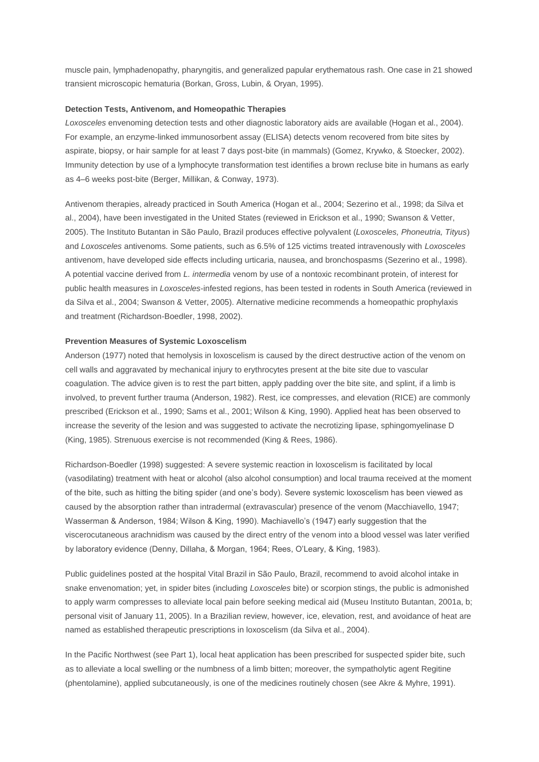muscle pain, lymphadenopathy, pharyngitis, and generalized papular erythematous rash. One case in 21 showed transient microscopic hematuria (Borkan, Gross, Lubin, & Oryan, 1995).

## **Detection Tests, Antivenom, and Homeopathic Therapies**

*Loxosceles* envenoming detection tests and other diagnostic laboratory aids are available (Hogan et al., 2004). For example, an enzyme-linked immunosorbent assay (ELISA) detects venom recovered from bite sites by aspirate, biopsy, or hair sample for at least 7 days post-bite (in mammals) (Gomez, Krywko, & Stoecker, 2002). Immunity detection by use of a lymphocyte transformation test identifies a brown recluse bite in humans as early as 4–6 weeks post-bite (Berger, Millikan, & Conway, 1973).

Antivenom therapies, already practiced in South America (Hogan et al., 2004; Sezerino et al., 1998; da Silva et al., 2004), have been investigated in the United States (reviewed in Erickson et al., 1990; Swanson & Vetter, 2005). The Instituto Butantan in São Paulo, Brazil produces effective polyvalent (*Loxosceles, Phoneutria, Tityus*) and *Loxosceles* antivenoms. Some patients, such as 6.5% of 125 victims treated intravenously with *Loxosceles* antivenom, have developed side effects including urticaria, nausea, and bronchospasms (Sezerino et al., 1998). A potential vaccine derived from *L. intermedia* venom by use of a nontoxic recombinant protein, of interest for public health measures in *Loxosceles*-infested regions, has been tested in rodents in South America (reviewed in da Silva et al., 2004; Swanson & Vetter, 2005). Alternative medicine recommends a homeopathic prophylaxis and treatment (Richardson-Boedler, 1998, 2002).

# **Prevention Measures of Systemic Loxoscelism**

Anderson (1977) noted that hemolysis in loxoscelism is caused by the direct destructive action of the venom on cell walls and aggravated by mechanical injury to erythrocytes present at the bite site due to vascular coagulation. The advice given is to rest the part bitten, apply padding over the bite site, and splint, if a limb is involved, to prevent further trauma (Anderson, 1982). Rest, ice compresses, and elevation (RICE) are commonly prescribed (Erickson et al., 1990; Sams et al., 2001; Wilson & King, 1990). Applied heat has been observed to increase the severity of the lesion and was suggested to activate the necrotizing lipase, sphingomyelinase D (King, 1985). Strenuous exercise is not recommended (King & Rees, 1986).

Richardson-Boedler (1998) suggested: A severe systemic reaction in loxoscelism is facilitated by local (vasodilating) treatment with heat or alcohol (also alcohol consumption) and local trauma received at the moment of the bite, such as hitting the biting spider (and one's body). Severe systemic loxoscelism has been viewed as caused by the absorption rather than intradermal (extravascular) presence of the venom (Macchiavello, 1947; Wasserman & Anderson, 1984; Wilson & King, 1990). Machiavello's (1947) early suggestion that the viscerocutaneous arachnidism was caused by the direct entry of the venom into a blood vessel was later verified by laboratory evidence (Denny, Dillaha, & Morgan, 1964; Rees, O'Leary, & King, 1983).

Public guidelines posted at the hospital Vital Brazil in São Paulo, Brazil, recommend to avoid alcohol intake in snake envenomation; yet, in spider bites (including *Loxosceles* bite) or scorpion stings, the public is admonished to apply warm compresses to alleviate local pain before seeking medical aid (Museu Instituto Butantan, 2001a, b; personal visit of January 11, 2005). In a Brazilian review, however, ice, elevation, rest, and avoidance of heat are named as established therapeutic prescriptions in loxoscelism (da Silva et al., 2004).

In the Pacific Northwest (see Part 1), local heat application has been prescribed for suspected spider bite, such as to alleviate a local swelling or the numbness of a limb bitten; moreover, the sympatholytic agent Regitine (phentolamine), applied subcutaneously, is one of the medicines routinely chosen (see Akre & Myhre, 1991).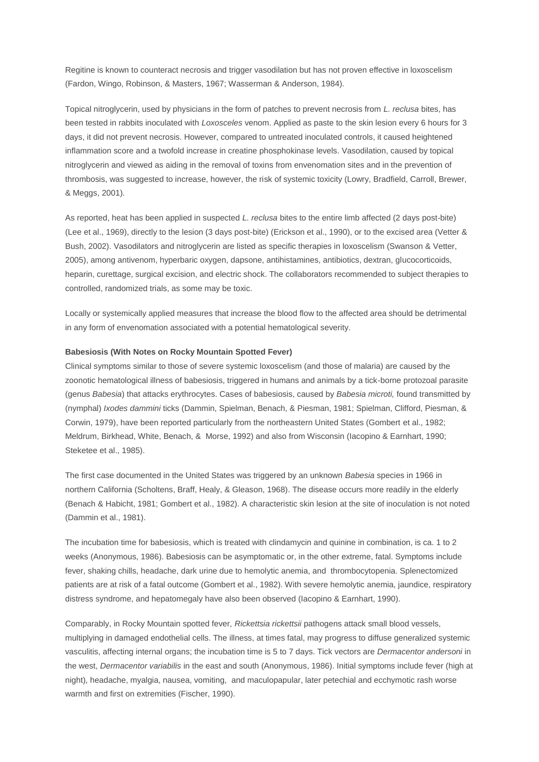Regitine is known to counteract necrosis and trigger vasodilation but has not proven effective in loxoscelism (Fardon, Wingo, Robinson, & Masters, 1967; Wasserman & Anderson, 1984).

Topical nitroglycerin, used by physicians in the form of patches to prevent necrosis from *L. reclusa* bites, has been tested in rabbits inoculated with *Loxosceles* venom. Applied as paste to the skin lesion every 6 hours for 3 days, it did not prevent necrosis. However, compared to untreated inoculated controls, it caused heightened inflammation score and a twofold increase in creatine phosphokinase levels. Vasodilation, caused by topical nitroglycerin and viewed as aiding in the removal of toxins from envenomation sites and in the prevention of thrombosis, was suggested to increase, however, the risk of systemic toxicity (Lowry, Bradfield, Carroll, Brewer, & Meggs, 2001).

As reported, heat has been applied in suspected *L. reclusa* bites to the entire limb affected (2 days post-bite) (Lee et al., 1969), directly to the lesion (3 days post-bite) (Erickson et al., 1990), or to the excised area (Vetter & Bush, 2002). Vasodilators and nitroglycerin are listed as specific therapies in loxoscelism (Swanson & Vetter, 2005), among antivenom, hyperbaric oxygen, dapsone, antihistamines, antibiotics, dextran, glucocorticoids, heparin, curettage, surgical excision, and electric shock. The collaborators recommended to subject therapies to controlled, randomized trials, as some may be toxic.

Locally or systemically applied measures that increase the blood flow to the affected area should be detrimental in any form of envenomation associated with a potential hematological severity.

## **Babesiosis (With Notes on Rocky Mountain Spotted Fever)**

Clinical symptoms similar to those of severe systemic loxoscelism (and those of malaria) are caused by the zoonotic hematological illness of babesiosis, triggered in humans and animals by a tick-borne protozoal parasite (genus *Babesia*) that attacks erythrocytes. Cases of babesiosis, caused by *Babesia microti,* found transmitted by (nymphal) *Ixodes dammini* ticks (Dammin, Spielman, Benach, & Piesman, 1981; Spielman, Clifford, Piesman, & Corwin, 1979), have been reported particularly from the northeastern United States (Gombert et al., 1982; Meldrum, Birkhead, White, Benach, & Morse, 1992) and also from Wisconsin (Iacopino & Earnhart, 1990; Steketee et al., 1985).

The first case documented in the United States was triggered by an unknown *Babesia* species in 1966 in northern California (Scholtens, Braff, Healy, & Gleason, 1968). The disease occurs more readily in the elderly (Benach & Habicht, 1981; Gombert et al., 1982). A characteristic skin lesion at the site of inoculation is not noted (Dammin et al., 1981).

The incubation time for babesiosis, which is treated with clindamycin and quinine in combination, is ca. 1 to 2 weeks (Anonymous, 1986). Babesiosis can be asymptomatic or, in the other extreme, fatal. Symptoms include fever, shaking chills, headache, dark urine due to hemolytic anemia, and thrombocytopenia. Splenectomized patients are at risk of a fatal outcome (Gombert et al., 1982). With severe hemolytic anemia, jaundice, respiratory distress syndrome, and hepatomegaly have also been observed (Iacopino & Earnhart, 1990).

Comparably, in Rocky Mountain spotted fever, *Rickettsia rickettsii* pathogens attack small blood vessels, multiplying in damaged endothelial cells. The illness, at times fatal, may progress to diffuse generalized systemic vasculitis, affecting internal organs; the incubation time is 5 to 7 days. Tick vectors are *Dermacentor andersoni* in the west, *Dermacentor variabilis* in the east and south (Anonymous, 1986). Initial symptoms include fever (high at night), headache, myalgia, nausea, vomiting, and maculopapular, later petechial and ecchymotic rash worse warmth and first on extremities (Fischer, 1990).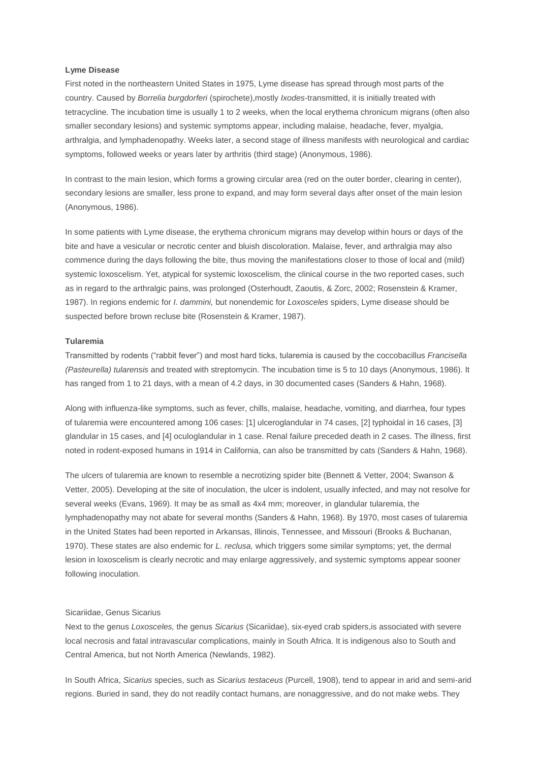## **Lyme Disease**

First noted in the northeastern United States in 1975, Lyme disease has spread through most parts of the country. Caused by *Borrelia burgdorferi* (spirochete),mostly *Ixodes*-transmitted, it is initially treated with tetracycline*.* The incubation time is usually 1 to 2 weeks, when the local erythema chronicum migrans (often also smaller secondary lesions) and systemic symptoms appear, including malaise, headache, fever, myalgia, arthralgia, and lymphadenopathy. Weeks later, a second stage of illness manifests with neurological and cardiac symptoms, followed weeks or years later by arthritis (third stage) (Anonymous, 1986).

In contrast to the main lesion, which forms a growing circular area (red on the outer border, clearing in center), secondary lesions are smaller, less prone to expand, and may form several days after onset of the main lesion (Anonymous, 1986).

In some patients with Lyme disease, the erythema chronicum migrans may develop within hours or days of the bite and have a vesicular or necrotic center and bluish discoloration. Malaise, fever, and arthralgia may also commence during the days following the bite, thus moving the manifestations closer to those of local and (mild) systemic loxoscelism. Yet, atypical for systemic loxoscelism, the clinical course in the two reported cases, such as in regard to the arthralgic pains, was prolonged (Osterhoudt, Zaoutis, & Zorc, 2002; Rosenstein & Kramer, 1987). In regions endemic for *I. dammini,* but nonendemic for *Loxosceles* spiders, Lyme disease should be suspected before brown recluse bite (Rosenstein & Kramer, 1987).

# **Tularemia**

Transmitted by rodents ("rabbit fever") and most hard ticks, tularemia is caused by the coccobacillus *Francisella (Pasteurella) tularensis* and treated with streptomycin. The incubation time is 5 to 10 days (Anonymous, 1986). It has ranged from 1 to 21 days, with a mean of 4.2 days, in 30 documented cases (Sanders & Hahn, 1968).

Along with influenza-like symptoms, such as fever, chills, malaise, headache, vomiting, and diarrhea, four types of tularemia were encountered among 106 cases: [1] ulceroglandular in 74 cases, [2] typhoidal in 16 cases, [3] glandular in 15 cases, and [4] oculoglandular in 1 case. Renal failure preceded death in 2 cases. The illness, first noted in rodent-exposed humans in 1914 in California, can also be transmitted by cats (Sanders & Hahn, 1968).

The ulcers of tularemia are known to resemble a necrotizing spider bite (Bennett & Vetter, 2004; Swanson & Vetter, 2005). Developing at the site of inoculation, the ulcer is indolent, usually infected, and may not resolve for several weeks (Evans, 1969). It may be as small as 4x4 mm; moreover, in glandular tularemia, the lymphadenopathy may not abate for several months (Sanders & Hahn, 1968). By 1970, most cases of tularemia in the United States had been reported in Arkansas, Illinois, Tennessee, and Missouri (Brooks & Buchanan, 1970). These states are also endemic for *L. reclusa,* which triggers some similar symptoms; yet, the dermal lesion in loxoscelism is clearly necrotic and may enlarge aggressively, and systemic symptoms appear sooner following inoculation.

#### Sicariidae, Genus Sicarius

Next to the genus *Loxosceles,* the genus *Sicarius* (Sicariidae), six-eyed crab spiders,is associated with severe local necrosis and fatal intravascular complications, mainly in South Africa. It is indigenous also to South and Central America, but not North America (Newlands, 1982).

In South Africa, *Sicarius* species, such as *Sicarius testaceus* (Purcell, 1908), tend to appear in arid and semi-arid regions. Buried in sand, they do not readily contact humans, are nonaggressive, and do not make webs. They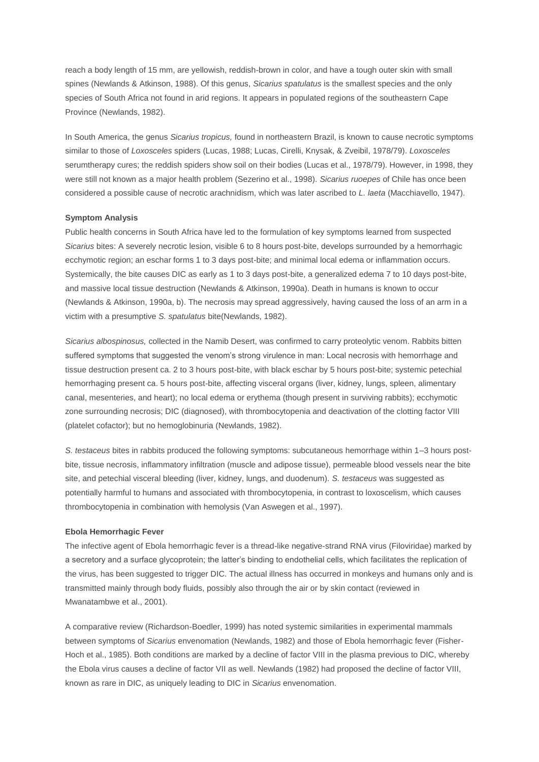reach a body length of 15 mm, are yellowish, reddish-brown in color, and have a tough outer skin with small spines (Newlands & Atkinson, 1988). Of this genus, *Sicarius spatulatus* is the smallest species and the only species of South Africa not found in arid regions. It appears in populated regions of the southeastern Cape Province (Newlands, 1982).

In South America, the genus *Sicarius tropicus,* found in northeastern Brazil, is known to cause necrotic symptoms similar to those of *Loxosceles* spiders (Lucas, 1988; Lucas, Cirelli, Knysak, & Zveibil, 1978/79). *Loxosceles* serumtherapy cures; the reddish spiders show soil on their bodies (Lucas et al., 1978/79). However, in 1998, they were still not known as a major health problem (Sezerino et al., 1998). *Sicarius ruoepes* of Chile has once been considered a possible cause of necrotic arachnidism, which was later ascribed to *L. laeta* (Macchiavello, 1947).

## **Symptom Analysis**

Public health concerns in South Africa have led to the formulation of key symptoms learned from suspected *Sicarius* bites: A severely necrotic lesion, visible 6 to 8 hours post-bite, develops surrounded by a hemorrhagic ecchymotic region; an eschar forms 1 to 3 days post-bite; and minimal local edema or inflammation occurs. Systemically, the bite causes DIC as early as 1 to 3 days post-bite, a generalized edema 7 to 10 days post-bite, and massive local tissue destruction (Newlands & Atkinson, 1990a). Death in humans is known to occur (Newlands & Atkinson, 1990a, b). The necrosis may spread aggressively, having caused the loss of an arm in a victim with a presumptive *S. spatulatus* bite(Newlands, 1982).

*Sicarius albospinosus,* collected in the Namib Desert, was confirmed to carry proteolytic venom. Rabbits bitten suffered symptoms that suggested the venom's strong virulence in man: Local necrosis with hemorrhage and tissue destruction present ca. 2 to 3 hours post-bite, with black eschar by 5 hours post-bite; systemic petechial hemorrhaging present ca. 5 hours post-bite, affecting visceral organs (liver, kidney, lungs, spleen, alimentary canal, mesenteries, and heart); no local edema or erythema (though present in surviving rabbits); ecchymotic zone surrounding necrosis; DIC (diagnosed), with thrombocytopenia and deactivation of the clotting factor VIII (platelet cofactor); but no hemoglobinuria (Newlands, 1982).

*S. testaceus* bites in rabbits produced the following symptoms: subcutaneous hemorrhage within 1–3 hours postbite, tissue necrosis, inflammatory infiltration (muscle and adipose tissue), permeable blood vessels near the bite site, and petechial visceral bleeding (liver, kidney, lungs, and duodenum). *S. testaceus* was suggested as potentially harmful to humans and associated with thrombocytopenia, in contrast to loxoscelism, which causes thrombocytopenia in combination with hemolysis (Van Aswegen et al., 1997).

#### **Ebola Hemorrhagic Fever**

The infective agent of Ebola hemorrhagic fever is a thread-like negative-strand RNA virus (Filoviridae) marked by a secretory and a surface glycoprotein; the latter's binding to endothelial cells, which facilitates the replication of the virus, has been suggested to trigger DIC. The actual illness has occurred in monkeys and humans only and is transmitted mainly through body fluids, possibly also through the air or by skin contact (reviewed in Mwanatambwe et al., 2001).

A comparative review (Richardson-Boedler, 1999) has noted systemic similarities in experimental mammals between symptoms of *Sicarius* envenomation (Newlands, 1982) and those of Ebola hemorrhagic fever (Fisher-Hoch et al., 1985). Both conditions are marked by a decline of factor VIII in the plasma previous to DIC, whereby the Ebola virus causes a decline of factor VII as well. Newlands (1982) had proposed the decline of factor VIII, known as rare in DIC, as uniquely leading to DIC in *Sicarius* envenomation.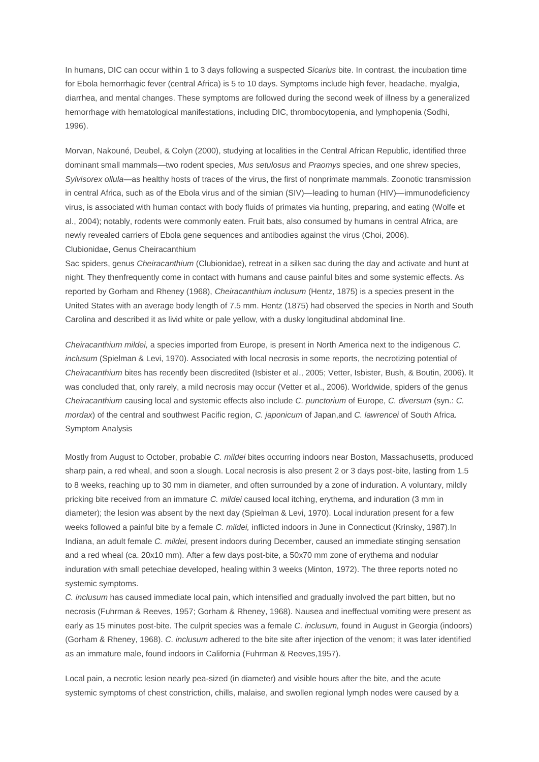In humans, DIC can occur within 1 to 3 days following a suspected *Sicarius* bite. In contrast, the incubation time for Ebola hemorrhagic fever (central Africa) is 5 to 10 days. Symptoms include high fever, headache, myalgia, diarrhea, and mental changes. These symptoms are followed during the second week of illness by a generalized hemorrhage with hematological manifestations, including DIC, thrombocytopenia, and lymphopenia (Sodhi, 1996).

Morvan, Nakouné, Deubel, & Colyn (2000), studying at localities in the Central African Republic, identified three dominant small mammals—two rodent species, *Mus setulosus* and *Praomys* species, and one shrew species, *Sylvisorex ollula*—as healthy hosts of traces of the virus, the first of nonprimate mammals. Zoonotic transmission in central Africa, such as of the Ebola virus and of the simian (SIV)—leading to human (HIV)—immunodeficiency virus, is associated with human contact with body fluids of primates via hunting, preparing, and eating (Wolfe et al., 2004); notably, rodents were commonly eaten. Fruit bats, also consumed by humans in central Africa, are newly revealed carriers of Ebola gene sequences and antibodies against the virus (Choi, 2006). Clubionidae, Genus Cheiracanthium

Sac spiders, genus *Cheiracanthium* (Clubionidae), retreat in a silken sac during the day and activate and hunt at night. They thenfrequently come in contact with humans and cause painful bites and some systemic effects. As reported by Gorham and Rheney (1968), *Cheiracanthium inclusum* (Hentz, 1875) is a species present in the United States with an average body length of 7.5 mm. Hentz (1875) had observed the species in North and South Carolina and described it as livid white or pale yellow, with a dusky longitudinal abdominal line.

*Cheiracanthium mildei,* a species imported from Europe, is present in North America next to the indigenous *C. inclusum* (Spielman & Levi, 1970). Associated with local necrosis in some reports, the necrotizing potential of *Cheiracanthium* bites has recently been discredited (Isbister et al., 2005; Vetter, Isbister, Bush, & Boutin, 2006). It was concluded that, only rarely, a mild necrosis may occur (Vetter et al., 2006). Worldwide, spiders of the genus *Cheiracanthium* causing local and systemic effects also include *C. punctorium* of Europe, *C. diversum* (syn.: *C. mordax*) of the central and southwest Pacific region, *C. japonicum* of Japan,and *C. lawrencei* of South Africa*.* Symptom Analysis

Mostly from August to October, probable *C. mildei* bites occurring indoors near Boston, Massachusetts, produced sharp pain, a red wheal, and soon a slough. Local necrosis is also present 2 or 3 days post-bite, lasting from 1.5 to 8 weeks, reaching up to 30 mm in diameter, and often surrounded by a zone of induration. A voluntary, mildly pricking bite received from an immature *C. mildei* caused local itching, erythema, and induration (3 mm in diameter); the lesion was absent by the next day (Spielman & Levi, 1970). Local induration present for a few weeks followed a painful bite by a female *C. mildei,* inflicted indoors in June in Connecticut (Krinsky, 1987).In Indiana, an adult female *C. mildei,* present indoors during December, caused an immediate stinging sensation and a red wheal (ca. 20x10 mm). After a few days post-bite, a 50x70 mm zone of erythema and nodular induration with small petechiae developed, healing within 3 weeks (Minton, 1972). The three reports noted no systemic symptoms.

*C. inclusum* has caused immediate local pain, which intensified and gradually involved the part bitten, but no necrosis (Fuhrman & Reeves, 1957; Gorham & Rheney, 1968). Nausea and ineffectual vomiting were present as early as 15 minutes post-bite. The culprit species was a female *C. inclusum,* found in August in Georgia (indoors) (Gorham & Rheney, 1968). *C. inclusum* adhered to the bite site after injection of the venom; it was later identified as an immature male, found indoors in California (Fuhrman & Reeves,1957).

Local pain, a necrotic lesion nearly pea-sized (in diameter) and visible hours after the bite, and the acute systemic symptoms of chest constriction, chills, malaise, and swollen regional lymph nodes were caused by a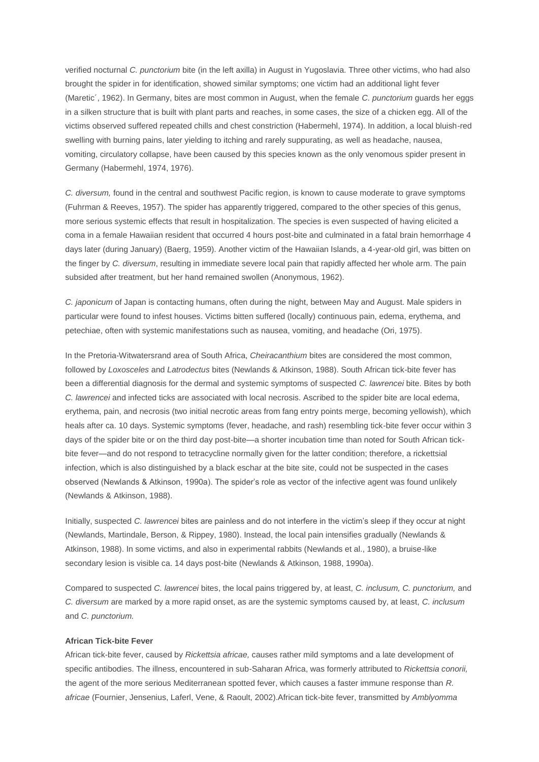verified nocturnal *C. punctorium* bite (in the left axilla) in August in Yugoslavia. Three other victims, who had also brought the spider in for identification, showed similar symptoms; one victim had an additional light fever (Maretic´, 1962). In Germany, bites are most common in August, when the female *C. punctorium* guards her eggs in a silken structure that is built with plant parts and reaches, in some cases, the size of a chicken egg. All of the victims observed suffered repeated chills and chest constriction (Habermehl, 1974). In addition, a local bluish-red swelling with burning pains, later yielding to itching and rarely suppurating, as well as headache, nausea, vomiting, circulatory collapse, have been caused by this species known as the only venomous spider present in Germany (Habermehl, 1974, 1976).

*C. diversum,* found in the central and southwest Pacific region, is known to cause moderate to grave symptoms (Fuhrman & Reeves, 1957). The spider has apparently triggered, compared to the other species of this genus, more serious systemic effects that result in hospitalization. The species is even suspected of having elicited a coma in a female Hawaiian resident that occurred 4 hours post-bite and culminated in a fatal brain hemorrhage 4 days later (during January) (Baerg, 1959). Another victim of the Hawaiian Islands, a 4-year-old girl, was bitten on the finger by *C. diversum*, resulting in immediate severe local pain that rapidly affected her whole arm. The pain subsided after treatment, but her hand remained swollen (Anonymous, 1962).

*C. japonicum* of Japan is contacting humans, often during the night, between May and August. Male spiders in particular were found to infest houses. Victims bitten suffered (locally) continuous pain, edema, erythema, and petechiae, often with systemic manifestations such as nausea, vomiting, and headache (Ori, 1975).

In the Pretoria-Witwatersrand area of South Africa, *Cheiracanthium* bites are considered the most common, followed by *Loxosceles* and *Latrodectus* bites (Newlands & Atkinson, 1988). South African tick-bite fever has been a differential diagnosis for the dermal and systemic symptoms of suspected *C. lawrencei* bite. Bites by both *C. lawrencei* and infected ticks are associated with local necrosis. Ascribed to the spider bite are local edema, erythema, pain, and necrosis (two initial necrotic areas from fang entry points merge, becoming yellowish), which heals after ca. 10 days. Systemic symptoms (fever, headache, and rash) resembling tick-bite fever occur within 3 days of the spider bite or on the third day post-bite—a shorter incubation time than noted for South African tickbite fever—and do not respond to tetracycline normally given for the latter condition; therefore, a rickettsial infection, which is also distinguished by a black eschar at the bite site, could not be suspected in the cases observed (Newlands & Atkinson, 1990a). The spider's role as vector of the infective agent was found unlikely (Newlands & Atkinson, 1988).

Initially, suspected *C. lawrencei* bites are painless and do not interfere in the victim's sleep if they occur at night (Newlands, Martindale, Berson, & Rippey, 1980). Instead, the local pain intensifies gradually (Newlands & Atkinson, 1988). In some victims, and also in experimental rabbits (Newlands et al., 1980), a bruise-like secondary lesion is visible ca. 14 days post-bite (Newlands & Atkinson, 1988, 1990a).

Compared to suspected *C. lawrencei* bites, the local pains triggered by, at least, *C. inclusum, C. punctorium,* and *C. diversum* are marked by a more rapid onset, as are the systemic symptoms caused by, at least, *C. inclusum*  and *C. punctorium.* 

## **African Tick-bite Fever**

African tick-bite fever, caused by *Rickettsia africae,* causes rather mild symptoms and a late development of specific antibodies. The illness, encountered in sub-Saharan Africa, was formerly attributed to *Rickettsia conorii,* the agent of the more serious Mediterranean spotted fever, which causes a faster immune response than *R. africae* (Fournier, Jensenius, Laferl, Vene, & Raoult, 2002).African tick-bite fever, transmitted by *Amblyomma*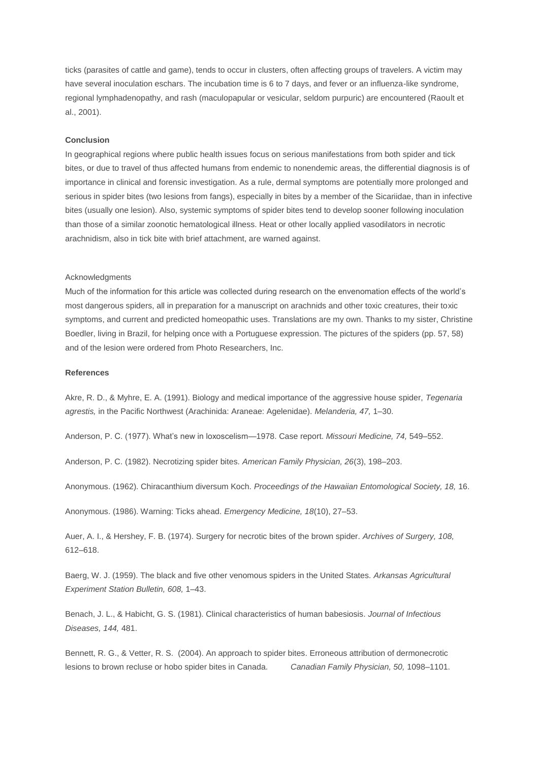ticks (parasites of cattle and game), tends to occur in clusters, often affecting groups of travelers. A victim may have several inoculation eschars. The incubation time is 6 to 7 days, and fever or an influenza-like syndrome, regional lymphadenopathy, and rash (maculopapular or vesicular, seldom purpuric) are encountered (Raoult et al., 2001).

#### **Conclusion**

In geographical regions where public health issues focus on serious manifestations from both spider and tick bites, or due to travel of thus affected humans from endemic to nonendemic areas, the differential diagnosis is of importance in clinical and forensic investigation. As a rule, dermal symptoms are potentially more prolonged and serious in spider bites (two lesions from fangs), especially in bites by a member of the Sicariidae, than in infective bites (usually one lesion). Also, systemic symptoms of spider bites tend to develop sooner following inoculation than those of a similar zoonotic hematological illness. Heat or other locally applied vasodilators in necrotic arachnidism, also in tick bite with brief attachment, are warned against.

#### Acknowledgments

Much of the information for this article was collected during research on the envenomation effects of the world's most dangerous spiders, all in preparation for a manuscript on arachnids and other toxic creatures, their toxic symptoms, and current and predicted homeopathic uses. Translations are my own. Thanks to my sister, Christine Boedler, living in Brazil, for helping once with a Portuguese expression. The pictures of the spiders (pp. 57, 58) and of the lesion were ordered from Photo Researchers, Inc.

# **References**

Akre, R. D., & Myhre, E. A. (1991). Biology and medical importance of the aggressive house spider, *Tegenaria agrestis,* in the Pacific Northwest (Arachinida: Araneae: Agelenidae). *Melanderia, 47,* 1–30.

Anderson, P. C. (1977). What's new in loxoscelism—1978. Case report. *Missouri Medicine, 74,* 549–552.

Anderson, P. C. (1982). Necrotizing spider bites. *American Family Physician, 26*(3), 198–203.

Anonymous. (1962). Chiracanthium diversum Koch. *Proceedings of the Hawaiian Entomological Society, 18,* 16.

Anonymous. (1986). Warning: Ticks ahead. *Emergency Medicine, 18*(10), 27–53.

Auer, A. I., & Hershey, F. B. (1974). Surgery for necrotic bites of the brown spider. *Archives of Surgery, 108,* 612–618.

Baerg, W. J. (1959). The black and five other venomous spiders in the United States*. Arkansas Agricultural Experiment Station Bulletin, 608,* 1–43.

Benach, J. L., & Habicht, G. S. (1981). Clinical characteristics of human babesiosis. *Journal of Infectious Diseases, 144,* 481.

Bennett, R. G., & Vetter, R. S. (2004). An approach to spider bites. Erroneous attribution of dermonecrotic lesions to brown recluse or hobo spider bites in Canada. *Canadian Family Physician, 50,* 1098–1101.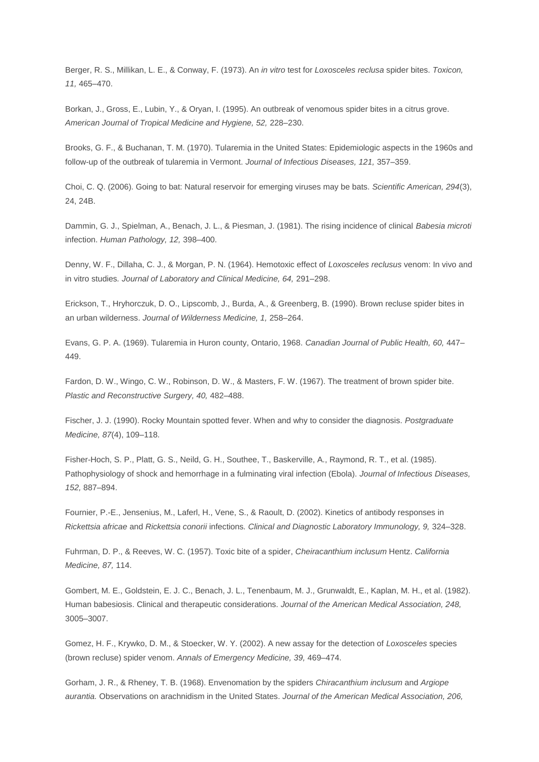Berger, R. S., Millikan, L. E., & Conway, F. (1973). An *in vitro* test for *Loxosceles reclusa* spider bites. *Toxicon, 11,* 465–470.

Borkan, J., Gross, E., Lubin, Y., & Oryan, I. (1995). An outbreak of venomous spider bites in a citrus grove. *American Journal of Tropical Medicine and Hygiene, 52,* 228–230.

Brooks, G. F., & Buchanan, T. M. (1970). Tularemia in the United States: Epidemiologic aspects in the 1960s and follow-up of the outbreak of tularemia in Vermont. *Journal of Infectious Diseases, 121,* 357–359.

Choi, C. Q. (2006). Going to bat: Natural reservoir for emerging viruses may be bats. *Scientific American, 294*(3), 24, 24B.

Dammin, G. J., Spielman, A., Benach, J. L., & Piesman, J. (1981). The rising incidence of clinical *Babesia microti* infection. *Human Pathology, 12,* 398–400.

Denny, W. F., Dillaha, C. J., & Morgan, P. N. (1964). Hemotoxic effect of *Loxosceles reclusus* venom: In vivo and in vitro studies*. Journal of Laboratory and Clinical Medicine, 64,* 291–298.

Erickson, T., Hryhorczuk, D. O., Lipscomb, J., Burda, A., & Greenberg, B. (1990). Brown recluse spider bites in an urban wilderness. *Journal of Wilderness Medicine, 1,* 258–264.

Evans, G. P. A. (1969). Tularemia in Huron county, Ontario, 1968. *Canadian Journal of Public Health, 60,* 447– 449.

Fardon, D. W., Wingo, C. W., Robinson, D. W., & Masters, F. W. (1967). The treatment of brown spider bite. *Plastic and Reconstructive Surgery, 40,* 482–488.

Fischer, J. J. (1990). Rocky Mountain spotted fever. When and why to consider the diagnosis. *Postgraduate Medicine, 87*(4), 109–118.

Fisher-Hoch, S. P., Platt, G. S., Neild, G. H., Southee, T., Baskerville, A., Raymond, R. T., et al. (1985). Pathophysiology of shock and hemorrhage in a fulminating viral infection (Ebola). *Journal of Infectious Diseases, 152,* 887–894.

Fournier, P.-E., Jensenius, M., Laferl, H., Vene, S., & Raoult, D. (2002). Kinetics of antibody responses in *Rickettsia africae* and *Rickettsia conorii* infections*. Clinical and Diagnostic Laboratory Immunology, 9,* 324–328.

Fuhrman, D. P., & Reeves, W. C. (1957). Toxic bite of a spider, *Cheiracanthium inclusum* Hentz. *California Medicine, 87,* 114.

Gombert, M. E., Goldstein, E. J. C., Benach, J. L., Tenenbaum, M. J., Grunwaldt, E., Kaplan, M. H., et al. (1982). Human babesiosis. Clinical and therapeutic considerations. *Journal of the American Medical Association, 248,* 3005–3007.

Gomez, H. F., Krywko, D. M., & Stoecker, W. Y. (2002). A new assay for the detection of *Loxosceles* species (brown recluse) spider venom. *Annals of Emergency Medicine, 39,* 469–474.

Gorham, J. R., & Rheney, T. B. (1968). Envenomation by the spiders *Chiracanthium inclusum* and *Argiope aurantia.* Observations on arachnidism in the United States. *Journal of the American Medical Association, 206,*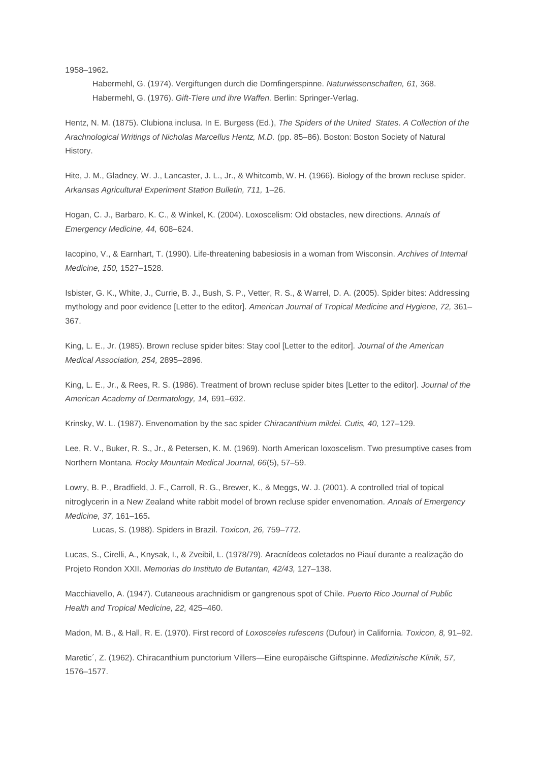1958–1962**.** 

Habermehl, G. (1974). Vergiftungen durch die Dornfingerspinne. *Naturwissenschaften, 61,* 368. Habermehl, G. (1976). *Gift-Tiere und ihre Waffen.* Berlin: Springer-Verlag.

Hentz, N. M. (1875). Clubiona inclusa. In E. Burgess (Ed.), *The Spiders of the United States*. *A Collection of the Arachnological Writings of Nicholas Marcellus Hentz, M.D.* (pp. 85–86). Boston: Boston Society of Natural History.

Hite, J. M., Gladney, W. J., Lancaster, J. L., Jr., & Whitcomb, W. H. (1966). Biology of the brown recluse spider. *Arkansas Agricultural Experiment Station Bulletin, 711,* 1–26.

Hogan, C. J., Barbaro, K. C., & Winkel, K. (2004). Loxoscelism: Old obstacles, new directions. *Annals of Emergency Medicine, 44,* 608–624.

Iacopino, V., & Earnhart, T. (1990). Life-threatening babesiosis in a woman from Wisconsin. *Archives of Internal Medicine, 150,* 1527–1528.

Isbister, G. K., White, J., Currie, B. J., Bush, S. P., Vetter, R. S., & Warrel, D. A. (2005). Spider bites: Addressing mythology and poor evidence [Letter to the editor]. *American Journal of Tropical Medicine and Hygiene, 72,* 361– 367.

King, L. E., Jr. (1985). Brown recluse spider bites: Stay cool [Letter to the editor]. *Journal of the American Medical Association, 254,* 2895–2896.

King, L. E., Jr., & Rees, R. S. (1986). Treatment of brown recluse spider bites [Letter to the editor]. *Journal of the American Academy of Dermatology, 14,* 691–692.

Krinsky, W. L. (1987). Envenomation by the sac spider *Chiracanthium mildei. Cutis, 40,* 127–129.

Lee, R. V., Buker, R. S., Jr., & Petersen, K. M. (1969). North American loxoscelism. Two presumptive cases from Northern Montana*. Rocky Mountain Medical Journal, 66*(5), 57–59.

Lowry, B. P., Bradfield, J. F., Carroll, R. G., Brewer, K., & Meggs, W. J. (2001). A controlled trial of topical nitroglycerin in a New Zealand white rabbit model of brown recluse spider envenomation. *Annals of Emergency Medicine, 37,* 161–165**.**

Lucas, S. (1988). Spiders in Brazil. *Toxicon, 26,* 759–772.

Lucas, S., Cirelli, A., Knysak, I., & Zveibil, L. (1978/79). Aracnídeos coletados no Piauí durante a realização do Projeto Rondon XXII. *Memorias do Instituto de Butantan, 42/43,* 127–138.

Macchiavello, A. (1947). Cutaneous arachnidism or gangrenous spot of Chile. *Puerto Rico Journal of Public Health and Tropical Medicine, 22,* 425–460.

Madon, M. B., & Hall, R. E. (1970). First record of *Loxosceles rufescens* (Dufour) in California*. Toxicon, 8,* 91–92.

Maretic´, Z. (1962). Chiracanthium punctorium Villers—Eine europäische Giftspinne. *Medizinische Klinik, 57,* 1576–1577.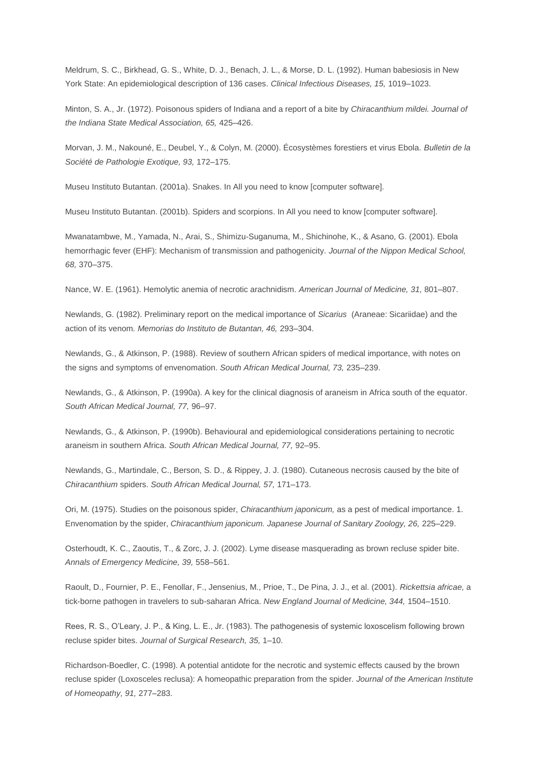Meldrum, S. C., Birkhead, G. S., White, D. J., Benach, J. L., & Morse, D. L. (1992). Human babesiosis in New York State: An epidemiological description of 136 cases. *Clinical Infectious Diseases, 15,* 1019–1023.

Minton, S. A., Jr. (1972). Poisonous spiders of Indiana and a report of a bite by *Chiracanthium mildei. Journal of the Indiana State Medical Association, 65,* 425–426.

Morvan, J. M., Nakouné, E., Deubel, Y., & Colyn, M. (2000). Écosystèmes forestiers et virus Ebola. *Bulletin de la Société de Pathologie Exotique, 93,* 172–175.

Museu Instituto Butantan. (2001a). Snakes. In All you need to know [computer software].

Museu Instituto Butantan. (2001b). Spiders and scorpions. In All you need to know [computer software].

Mwanatambwe, M., Yamada, N., Arai, S., Shimizu-Suganuma, M., Shichinohe, K., & Asano, G. (2001). Ebola hemorrhagic fever (EHF): Mechanism of transmission and pathogenicity*. Journal of the Nippon Medical School, 68,* 370–375.

Nance, W. E. (1961). Hemolytic anemia of necrotic arachnidism. *American Journal of Medicine, 31,* 801–807.

Newlands, G. (1982). Preliminary report on the medical importance of *Sicarius* (Araneae: Sicariidae) and the action of its venom*. Memorias do Instituto de Butantan, 46,* 293–304.

Newlands, G., & Atkinson, P. (1988). Review of southern African spiders of medical importance, with notes on the signs and symptoms of envenomation. *South African Medical Journal, 73,* 235–239.

Newlands, G., & Atkinson, P. (1990a). A key for the clinical diagnosis of araneism in Africa south of the equator. *South African Medical Journal, 77,* 96–97.

Newlands, G., & Atkinson, P. (1990b). Behavioural and epidemiological considerations pertaining to necrotic araneism in southern Africa. *South African Medical Journal, 77,* 92–95.

Newlands, G., Martindale, C., Berson, S. D., & Rippey, J. J. (1980). Cutaneous necrosis caused by the bite of *Chiracanthium* spiders. *South African Medical Journal, 57,* 171–173.

Ori, M. (1975). Studies on the poisonous spider, *Chiracanthium japonicum,* as a pest of medical importance. 1. Envenomation by the spider, *Chiracanthium japonicum. Japanese Journal of Sanitary Zoology, 26,* 225–229.

Osterhoudt, K. C., Zaoutis, T., & Zorc, J. J. (2002). Lyme disease masquerading as brown recluse spider bite. *Annals of Emergency Medicine, 39,* 558–561.

Raoult, D., Fournier, P. E., Fenollar, F., Jensenius, M., Prioe, T., De Pina, J. J., et al. (2001)*. Rickettsia africae,* a tick-borne pathogen in travelers to sub-saharan Africa. *New England Journal of Medicine, 344,* 1504–1510.

Rees, R. S., O'Leary, J. P., & King, L. E., Jr. (1983). The pathogenesis of systemic loxoscelism following brown recluse spider bites. *Journal of Surgical Research, 35,* 1–10.

Richardson-Boedler, C. (1998). A potential antidote for the necrotic and systemic effects caused by the brown recluse spider (Loxosceles reclusa): A homeopathic preparation from the spider. *Journal of the American Institute of Homeopathy, 91,* 277–283.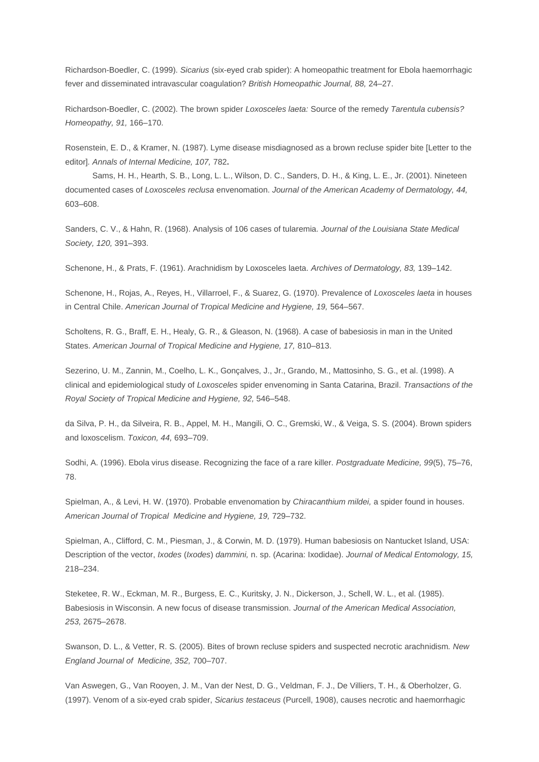Richardson-Boedler, C. (1999). *Sicarius* (six-eyed crab spider): A homeopathic treatment for Ebola haemorrhagic fever and disseminated intravascular coagulation? *British Homeopathic Journal, 88,* 24–27.

Richardson-Boedler, C. (2002). The brown spider *Loxosceles laeta:* Source of the remedy *Tarentula cubensis? Homeopathy, 91,* 166–170.

Rosenstein, E. D., & Kramer, N. (1987). Lyme disease misdiagnosed as a brown recluse spider bite [Letter to the editor]*. Annals of Internal Medicine, 107,* 782**.** 

Sams, H. H., Hearth, S. B., Long, L. L., Wilson, D. C., Sanders, D. H., & King, L. E., Jr. (2001). Nineteen documented cases of *Loxosceles reclusa* envenomation. *Journal of the American Academy of Dermatology, 44,* 603–608.

Sanders, C. V., & Hahn, R. (1968). Analysis of 106 cases of tularemia*. Journal of the Louisiana State Medical Society, 120,* 391–393.

Schenone, H., & Prats, F. (1961). Arachnidism by Loxosceles laeta. *Archives of Dermatology, 83,* 139–142.

Schenone, H., Rojas, A., Reyes, H., Villarroel, F., & Suarez, G. (1970). Prevalence of *Loxosceles laeta* in houses in Central Chile. *American Journal of Tropical Medicine and Hygiene, 19,* 564–567.

Scholtens, R. G., Braff, E. H., Healy, G. R., & Gleason, N. (1968). A case of babesiosis in man in the United States. *American Journal of Tropical Medicine and Hygiene, 17,* 810–813.

Sezerino, U. M., Zannin, M., Coelho, L. K., Gonçalves, J., Jr., Grando, M., Mattosinho, S. G., et al. (1998). A clinical and epidemiological study of *Loxosceles* spider envenoming in Santa Catarina, Brazil. *Transactions of the Royal Society of Tropical Medicine and Hygiene, 92,* 546–548.

da Silva, P. H., da Silveira, R. B., Appel, M. H., Mangili, O. C., Gremski, W., & Veiga, S. S. (2004). Brown spiders and loxoscelism. *Toxicon, 44,* 693–709.

Sodhi, A. (1996). Ebola virus disease. Recognizing the face of a rare killer. *Postgraduate Medicine, 99*(5), 75–76, 78.

Spielman, A., & Levi, H. W. (1970). Probable envenomation by *Chiracanthium mildei,* a spider found in houses. *American Journal of Tropical Medicine and Hygiene, 19,* 729–732.

Spielman, A., Clifford, C. M., Piesman, J., & Corwin, M. D. (1979). Human babesiosis on Nantucket Island, USA: Description of the vector, *Ixodes* (*Ixodes*) *dammini,* n. sp. (Acarina: Ixodidae). *Journal of Medical Entomology, 15,* 218–234.

Steketee, R. W., Eckman, M. R., Burgess, E. C., Kuritsky, J. N., Dickerson, J., Schell, W. L., et al. (1985). Babesiosis in Wisconsin. A new focus of disease transmission. *Journal of the American Medical Association, 253,* 2675–2678.

Swanson, D. L., & Vetter, R. S. (2005). Bites of brown recluse spiders and suspected necrotic arachnidism*. New England Journal of Medicine, 352,* 700–707.

Van Aswegen, G., Van Rooyen, J. M., Van der Nest, D. G., Veldman, F. J., De Villiers, T. H., & Oberholzer, G. (1997). Venom of a six-eyed crab spider, *Sicarius testaceus* (Purcell, 1908), causes necrotic and haemorrhagic